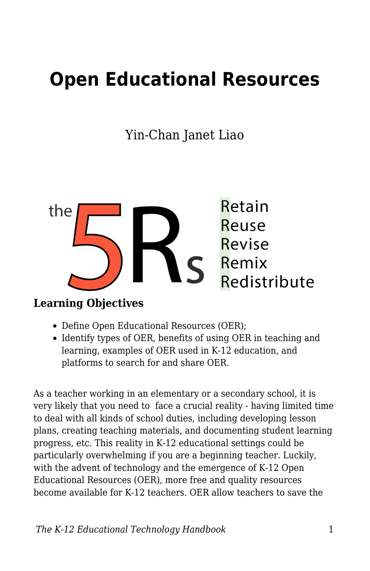# **Open Educational Resources**

Yin-Chan Janet Liao



#### **Learning Objectives**

- Define Open Educational Resources (OER);
- Identify types of OER, benefits of using OER in teaching and learning, examples of OER used in K-12 education, and platforms to search for and share OER.

As a teacher working in an elementary or a secondary school, it is very likely that you need to face a crucial reality - having limited time to deal with all kinds of school duties, including developing lesson plans, creating teaching materials, and documenting student learning progress, etc. This reality in K-12 educational settings could be particularly overwhelming if you are a beginning teacher. Luckily, with the advent of technology and the emergence of K-12 Open Educational Resources (OER), more free and quality resources become available for K-12 teachers. OER allow teachers to save the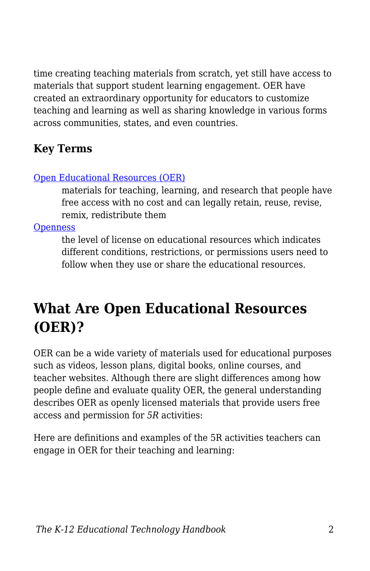time creating teaching materials from scratch, yet still have access to materials that support student learning engagement. OER have created an extraordinary opportunity for educators to customize teaching and learning as well as sharing knowledge in various forms across communities, states, and even countries.

## **Key Terms**

#### [Open Educational Resources \(OER\)](https://edtechbooks.org/k12handbook/glossary#oer)

materials for teaching, learning, and research that people have free access with no cost and can legally retain, reuse, revise, remix, redistribute them

**[Openness](https://edtechbooks.org/k12handbook/glossary#openness)** 

the level of license on educational resources which indicates different conditions, restrictions, or permissions users need to follow when they use or share the educational resources.

## **What Are Open Educational Resources (OER)?**

OER can be a wide variety of materials used for educational purposes such as videos, lesson plans, digital books, online courses, and teacher websites. Although there are slight differences among how people define and evaluate quality OER, the general understanding describes OER as openly licensed materials that provide users free access and permission for *5R* activities:

Here are definitions and examples of the 5R activities teachers can engage in OER for their teaching and learning: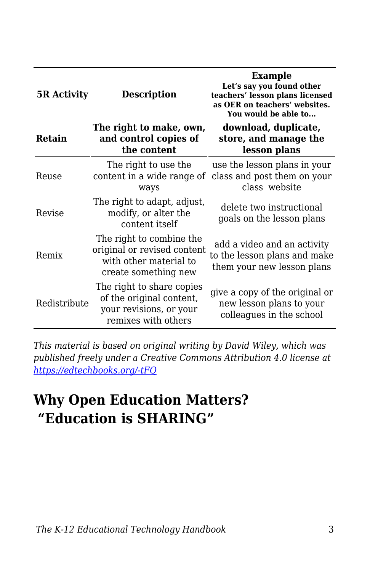| <b>5R Activity</b> | <b>Description</b>                                                                                        | <b>Example</b><br>Let's say you found other<br>teachers' lesson plans licensed<br>as OER on teachers' websites.<br>You would be able to |
|--------------------|-----------------------------------------------------------------------------------------------------------|-----------------------------------------------------------------------------------------------------------------------------------------|
| Retain             | The right to make, own,<br>and control copies of<br>the content                                           | download, duplicate,<br>store, and manage the<br>lesson plans                                                                           |
| Reuse              | The right to use the<br>content in a wide range of<br>ways                                                | use the lesson plans in your<br>class and post them on your<br>class website                                                            |
| Revise             | The right to adapt, adjust,<br>modify, or alter the<br>content itself                                     | delete two instructional<br>goals on the lesson plans                                                                                   |
| Remix              | The right to combine the<br>original or revised content<br>with other material to<br>create something new | add a video and an activity<br>to the lesson plans and make<br>them your new lesson plans                                               |
| Redistribute       | The right to share copies<br>of the original content,<br>your revisions, or your<br>remixes with others   | give a copy of the original or<br>new lesson plans to your<br>colleagues in the school                                                  |

*This material is based on original writing by David Wiley, which was published freely under a Creative Commons Attribution 4.0 license at <https://edtechbooks.org/-tFQ>*

## **Why Open Education Matters? "Education is SHARING"**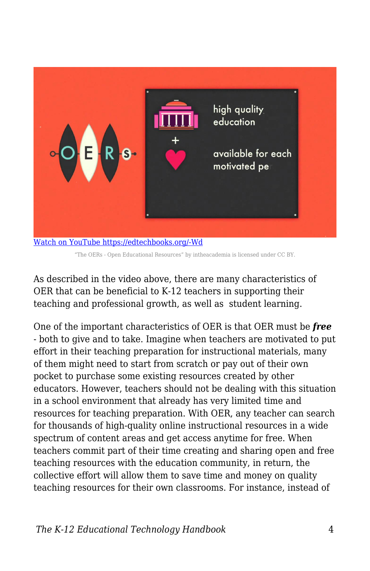

[Watch on YouTube https://edtechbooks.org/-Wd](https://www.youtube.com/embed/-xGRztrWv-k?autoplay=1&rel=0&showinfo=0&modestbranding=1) "The OERs - Open Educational Resources" by intheacademia is licensed under CC BY.

As described in the video above, there are many characteristics of OER that can be beneficial to K-12 teachers in supporting their teaching and professional growth, as well as student learning.

One of the important characteristics of OER is that OER must be *free* - both to give and to take. Imagine when teachers are motivated to put effort in their teaching preparation for instructional materials, many of them might need to start from scratch or pay out of their own pocket to purchase some existing resources created by other educators. However, teachers should not be dealing with this situation in a school environment that already has very limited time and resources for teaching preparation. With OER, any teacher can search for thousands of high-quality online instructional resources in a wide spectrum of content areas and get access anytime for free. When teachers commit part of their time creating and sharing open and free teaching resources with the education community, in return, the collective effort will allow them to save time and money on quality teaching resources for their own classrooms. For instance, instead of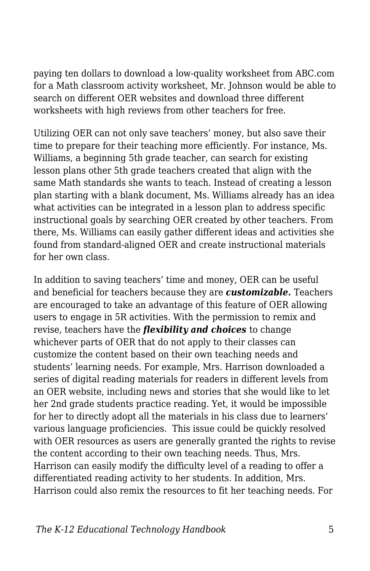paying ten dollars to download a low-quality worksheet from ABC.com for a Math classroom activity worksheet, Mr. Johnson would be able to search on different OER websites and download three different worksheets with high reviews from other teachers for free.

Utilizing OER can not only save teachers' money, but also save their time to prepare for their teaching more efficiently. For instance, Ms. Williams, a beginning 5th grade teacher, can search for existing lesson plans other 5th grade teachers created that align with the same Math standards she wants to teach. Instead of creating a lesson plan starting with a blank document, Ms. Williams already has an idea what activities can be integrated in a lesson plan to address specific instructional goals by searching OER created by other teachers. From there, Ms. Williams can easily gather different ideas and activities she found from standard-aligned OER and create instructional materials for her own class.

In addition to saving teachers' time and money, OER can be useful and beneficial for teachers because they are *customizable***.** Teachers are encouraged to take an advantage of this feature of OER allowing users to engage in 5R activities. With the permission to remix and revise, teachers have the *flexibility and choices* to change whichever parts of OER that do not apply to their classes can customize the content based on their own teaching needs and students' learning needs. For example, Mrs. Harrison downloaded a series of digital reading materials for readers in different levels from an OER website, including news and stories that she would like to let her 2nd grade students practice reading. Yet, it would be impossible for her to directly adopt all the materials in his class due to learners' various language proficiencies. This issue could be quickly resolved with OER resources as users are generally granted the rights to revise the content according to their own teaching needs. Thus, Mrs. Harrison can easily modify the difficulty level of a reading to offer a differentiated reading activity to her students. In addition, Mrs. Harrison could also remix the resources to fit her teaching needs. For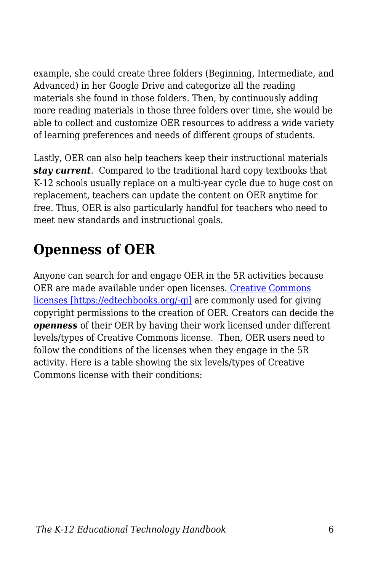example, she could create three folders (Beginning, Intermediate, and Advanced) in her Google Drive and categorize all the reading materials she found in those folders. Then, by continuously adding more reading materials in those three folders over time, she would be able to collect and customize OER resources to address a wide variety of learning preferences and needs of different groups of students.

Lastly, OER can also help teachers keep their instructional materials *stay current*. Compared to the traditional hard copy textbooks that K-12 schools usually replace on a multi-year cycle due to huge cost on replacement, teachers can update the content on OER anytime for free. Thus, OER is also particularly handful for teachers who need to meet new standards and instructional goals.

# **Openness of OER**

Anyone can search for and engage OER in the 5R activities because OER are made available under open licenses[. Creative Commons](https://creativecommons.org/licenses/) [licenses \[https://edtechbooks.org/-qi\]](https://creativecommons.org/licenses/) are commonly used for giving copyright permissions to the creation of OER. Creators can decide the *openness* of their OER by having their work licensed under different levels/types of Creative Commons license. Then, OER users need to follow the conditions of the licenses when they engage in the 5R activity. Here is a table showing the six levels/types of Creative Commons license with their conditions: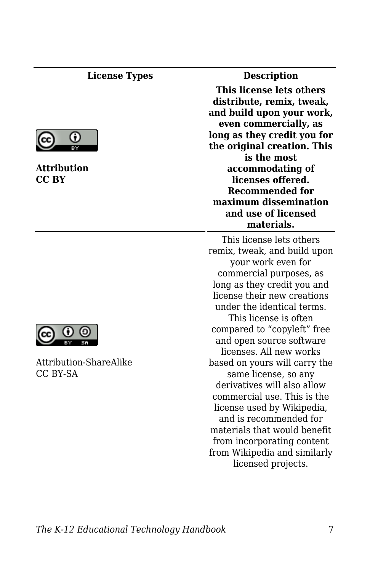#### **License Types Description**



**Attribution CC BY**



Attribution-ShareAlike CC BY-SA

**This license lets others distribute, remix, tweak, and build upon your work, even commercially, as long as they credit you for the original creation. This is the most accommodating of licenses offered. Recommended for maximum dissemination and use of licensed materials.**

This license lets others remix, tweak, and build upon your work even for commercial purposes, as long as they credit you and license their new creations under the identical terms. This license is often compared to "copyleft" free and open source software licenses. All new works based on yours will carry the same license, so any derivatives will also allow commercial use. This is the license used by Wikipedia, and is recommended for materials that would benefit from incorporating content from Wikipedia and similarly licensed projects.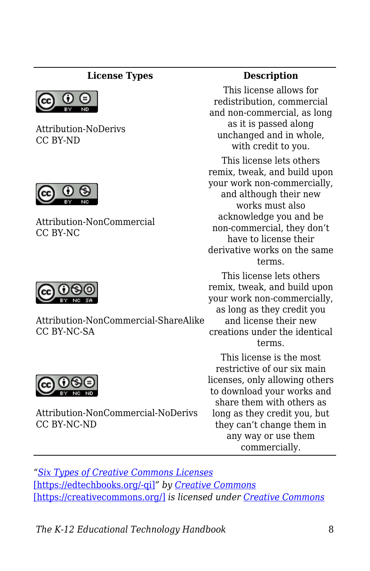#### **License Types Description**



Attribution-NoDerivs CC BY-ND



Attribution-NonCommercial CC BY-NC



Attribution-NonCommercial-ShareAlike CC BY-NC-SA



Attribution-NonCommercial-NoDerivs CC BY-NC-ND

This license allows for redistribution, commercial and non-commercial, as long as it is passed along unchanged and in whole, with credit to you.

This license lets others remix, tweak, and build upon your work non-commercially, and although their new works must also acknowledge you and be non-commercial, they don't have to license their derivative works on the same terms.

This license lets others remix, tweak, and build upon your work non-commercially, as long as they credit you and license their new creations under the identical terms.

This license is the most restrictive of our six main licenses, only allowing others to download your works and share them with others as long as they credit you, but they can't change them in any way or use them commercially.

*"[Six Types of Creative Commons Licenses](https://creativecommons.org/licenses/)* [\[https://edtechbooks.org/-qi\]](https://creativecommons.org/licenses/)*" by [Creative Commons](https://creativecommons.org/)* [\[https://creativecommons.org/\]](https://creativecommons.org/) *is licensed under [Creative Commons](http://creativecommons.org/licenses/by/4.0/)*

*The K-12 Educational Technology Handbook* 8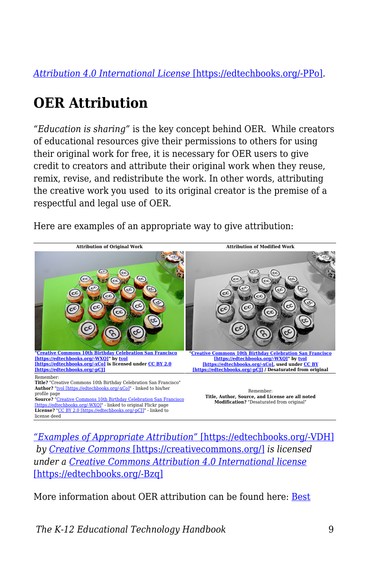*[Attribution 4.0 International License](http://creativecommons.org/licenses/by/4.0/)* [\[https://edtechbooks.org/-PPo\]](http://creativecommons.org/licenses/by/4.0/)*.*

# **OER Attribution**

*"Education is sharing"* is the key concept behind OER. While creators of educational resources give their permissions to others for using their original work for free, it is necessary for OER users to give credit to creators and attribute their original work when they reuse, remix, revise, and redistribute the work. In other words, attributing the creative work you used to its original creator is the premise of a respectful and legal use of OER.

Here are examples of an appropriate way to give attribution:



*["Examples of Appropriate Attribution"](https://wiki.creativecommons.org/wiki/Best_practices_for_attribution)* [\[https://edtechbooks.org/-VDH\]](https://wiki.creativecommons.org/wiki/Best_practices_for_attribution)  *by [Creative Commons](https://creativecommons.org/)* [\[https://creativecommons.org/\]](https://creativecommons.org/) *is licensed under a [Creative Commons Attribution 4.0 International license](https://creativecommons.org/licenses/by/4.0/)* [\[https://edtechbooks.org/-Bzq\]](https://creativecommons.org/licenses/by/4.0/)

More information about OER attribution can be found here: [Best](https://wiki.creativecommons.org/wiki/Best_practices_for_attribution)

*The K-12 Educational Technology Handbook* 9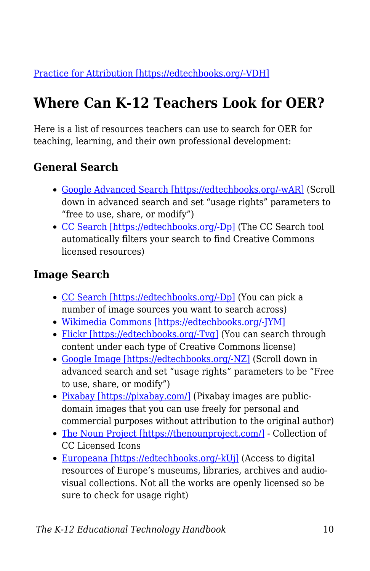[Practice for Attribution \[https://edtechbooks.org/-VDH\]](https://wiki.creativecommons.org/wiki/Best_practices_for_attribution)

# **Where Can K-12 Teachers Look for OER?**

Here is a list of resources teachers can use to search for OER for teaching, learning, and their own professional development:

## **General Search**

- [Google Advanced Search \[https://edtechbooks.org/-wAR\]](https://www.google.com/advanced_search?hl=en) (Scroll down in advanced search and set "usage rights" parameters to "free to use, share, or modify")
- [CC Search \[https://edtechbooks.org/-Dp\]](https://search.creativecommons.org/) (The CC Search tool automatically filters your search to find Creative Commons licensed resources)

### **Image Search**

- [CC Search \[https://edtechbooks.org/-Dp\]](https://search.creativecommons.org/) (You can pick a number of image sources you want to search across)
- [Wikimedia Commons \[https://edtechbooks.org/-JYM\]](https://commons.wikimedia.org/wiki/Main_Page)
- [Flickr \[https://edtechbooks.org/-Tvg\]](https://www.flickr.com/creativecommons) (You can search through content under each type of Creative Commons license)
- [Google Image \[https://edtechbooks.org/-NZ\]](https://www.google.com/advanced_image_search) (Scroll down in advanced search and set "usage rights" parameters to be "Free to use, share, or modify")
- [Pixabay \[https://pixabay.com/\]](https://pixabay.com/) (Pixabay images are publicdomain images that you can use freely for personal and commercial purposes without attribution to the original author)
- [The Noun Project \[https://thenounproject.com/\]](https://thenounproject.com/) Collection of CC Licensed Icons
- [Europeana \[https://edtechbooks.org/-kUj\]](http://www.europeana.eu/portal/en) (Access to digital resources of Europe's museums, libraries, archives and audiovisual collections. Not all the works are openly licensed so be sure to check for usage right)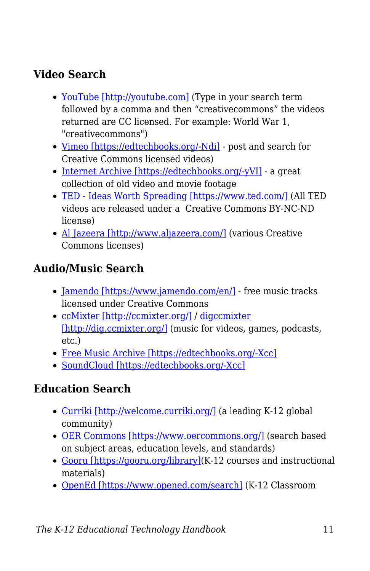## **Video Search**

- [YouTube \[http://youtube.com\]](http://youtube.com) (Type in your search term followed by a comma and then "creativecommons" the videos returned are CC licensed. For example: World War 1, "creativecommons")
- [Vimeo \[https://edtechbooks.org/-Ndi\]](https://vimeo.com/creativecommons) post and search for Creative Commons licensed videos)
- [Internet Archive \[https://edtechbooks.org/-yVI\]](https://archive.org/details/movies) a great collection of old video and movie footage
- [TED Ideas Worth Spreading \[https://www.ted.com/\]](https://www.ted.com/) (All TED videos are released under a Creative Commons BY-NC-ND license)
- [Al Jazeera \[http://www.aljazeera.com/\]](http://www.aljazeera.com/) (various Creative Commons licenses)

#### **Audio/Music Search**

- [Jamendo \[https://www.jamendo.com/en/\]](https://www.jamendo.com/en/) free music tracks licensed under Creative Commons
- [ccMixter \[http://ccmixter.org/\]](http://ccmixter.org/) / [digccmixter](http://dig.ccmixter.org/) [\[http://dig.ccmixter.org/\]](http://dig.ccmixter.org/) (music for videos, games, podcasts, etc.)
- [Free Music Archive \[https://edtechbooks.org/-Xcc\]](http://freemusicarchive.org/curator/Creative_Commons/)
- [SoundCloud \[https://edtechbooks.org/-Xcc\]](http://freemusicarchive.org/curator/Creative_Commons/)

#### **Education Search**

- [Curriki \[http://welcome.curriki.org/\]](http://welcome.curriki.org/) (a leading K-12 global community)
- [OER Commons \[https://www.oercommons.org/\]](https://www.oercommons.org/) (search based on subject areas, education levels, and standards)
- [Gooru \[https://gooru.org/library\]](https://gooru.org/library)(K-12 courses and instructional materials)
- [OpenEd \[https://www.opened.com/search\]](https://www.opened.com/search) (K-12 Classroom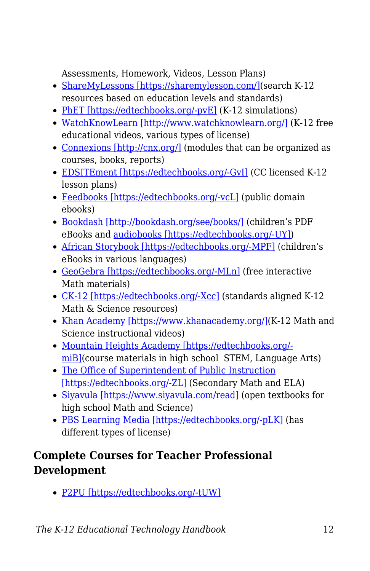Assessments, Homework, Videos, Lesson Plans)

- [ShareMyLessons \[https://sharemylesson.com/\]](https://sharemylesson.com/)(search K-12 resources based on education levels and standards)
- [PhET \[https://edtechbooks.org/-pvE\]](https://phet.colorado.edu/en/simulations/category/new) (K-12 simulations)
- [WatchKnowLearn \[http://www.watchknowlearn.org/\]](http://www.watchknowlearn.org/) (K-12 free educational videos, various types of license)
- [Connexions \[http://cnx.org/\]](http://cnx.org/) (modules that can be organized as courses, books, reports)
- [EDSITEment \[https://edtechbooks.org/-GvI\]](https://edsitement.neh.gov/lesson-plans) (CC licensed K-12 lesson plans)
- [Feedbooks \[https://edtechbooks.org/-vcL\]](http://www.feedbooks.com/publicdomain) (public domain ebooks)
- [Bookdash \[http://bookdash.org/see/books/\]](http://bookdash.org/see/books/) (children's PDF eBooks and [audiobooks \[https://edtechbooks.org/-UY\]](http://bookdash.org/tag/audiobooks/))
- [African Storybook \[https://edtechbooks.org/-MPF\]](http://www.africanstorybook.org/) (children's eBooks in various languages)
- [GeoGebra \[https://edtechbooks.org/-MLn\]](https://www.geogebra.org/materials/) (free interactive Math materials)
- [CK-12 \[https://edtechbooks.org/-Xcc\]](http://freemusicarchive.org/curator/Creative_Commons/) (standards aligned K-12 Math & Science resources)
- [Khan Academy \[https://www.khanacademy.org/\]\(](https://www.khanacademy.org/)K-12 Math and Science instructional videos)
- [Mountain Heights Academy \[https://edtechbooks.org/](http://openhighschoolcourses.org/course/index.php) [miB\]\(](http://openhighschoolcourses.org/course/index.php)course materials in high school STEM, Language Arts)
- [The Office of Superintendent of Public Instruction](http://digitallearning.k12.wa.us/oer/library/) [\[https://edtechbooks.org/-ZL\]](http://digitallearning.k12.wa.us/oer/library/) (Secondary Math and ELA)
- [Siyavula \[https://www.siyavula.com/read\]](https://www.siyavula.com/read) (open textbooks for high school Math and Science)
- [PBS Learning Media \[https://edtechbooks.org/-pLK\]](https://indiana.pbslearningmedia.org/) (has different types of license)

### **Complete Courses for Teacher Professional Development**

[P2PU \[https://edtechbooks.org/-tUW\]](https://learningcircles.p2pu.org/en/courses/)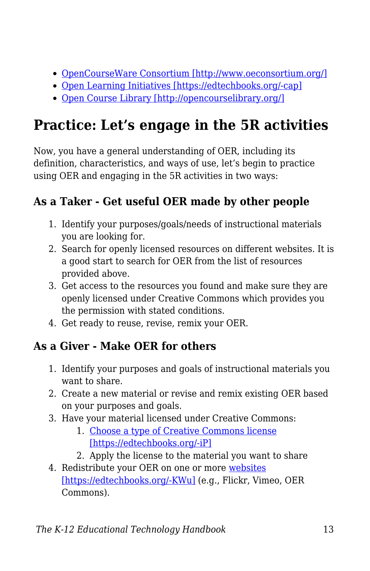- [OpenCourseWare Consortium \[http://www.oeconsortium.org/\]](http://www.oeconsortium.org/)
- [Open Learning Initiatives \[https://edtechbooks.org/-cap\]](http://oli.cmu.edu/learn-with-oli/see-our-free-open-courses/)
- [Open Course Library \[http://opencourselibrary.org/\]](http://opencourselibrary.org/)

# **Practice: Let's engage in the 5R activities**

Now, you have a general understanding of OER, including its definition, characteristics, and ways of use, let's begin to practice using OER and engaging in the 5R activities in two ways:

## **As a Taker - Get useful OER made by other people**

- 1. Identify your purposes/goals/needs of instructional materials you are looking for.
- 2. Search for openly licensed resources on different websites. It is a good start to search for OER from the list of resources provided above.
- 3. Get access to the resources you found and make sure they are openly licensed under Creative Commons which provides you the permission with stated conditions.
- 4. Get ready to reuse, revise, remix your OER.

## **As a Giver - Make OER for others**

- 1. Identify your purposes and goals of instructional materials you want to share.
- 2. Create a new material or revise and remix existing OER based on your purposes and goals.
- 3. Have your material licensed under Creative Commons:
	- 1. [Choose a type of Creative Commons license](https://creativecommons.org/choose/) [\[https://edtechbooks.org/-iP\]](https://creativecommons.org/choose/)
	- 2. Apply the license to the material you want to share
- 4. Redistribute your OER on one or more [websites](https://creativecommons.org/share-your-work/) [\[https://edtechbooks.org/-KWu\]](https://creativecommons.org/share-your-work/) (e.g., Flickr, Vimeo, OER Commons).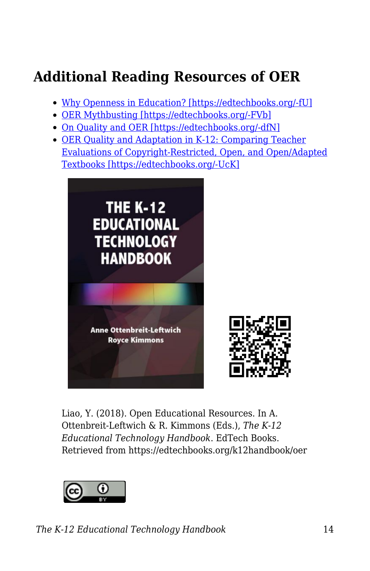# **Additional Reading Resources of OER**

- [Why Openness in Education? \[https://edtechbooks.org/-fU\]](https://library.educause.edu/resources/2012/5/chapter-6-why-openness-in-education)
- [OER Mythbusting \[https://edtechbooks.org/-FVb\]](https://mythbusting.oerpolicy.eu/)
- [On Quality and OER \[https://edtechbooks.org/-dfN\]](https://opencontent.org/blog/archives/2947)
- [OER Quality and Adaptation in K-12: Comparing Teacher](http://www.irrodl.org/index.php/irrodl/article/view/2341/3405) [Evaluations of Copyright-Restricted, Open, and Open/Adapted](http://www.irrodl.org/index.php/irrodl/article/view/2341/3405) [Textbooks \[https://edtechbooks.org/-UcK\]](http://www.irrodl.org/index.php/irrodl/article/view/2341/3405)



Liao, Y. (2018). Open Educational Resources. In A. Ottenbreit-Leftwich & R. Kimmons (Eds.), *The K-12 Educational Technology Handbook*. EdTech Books. Retrieved from https://edtechbooks.org/k12handbook/oer



*The K-12 Educational Technology Handbook* 14